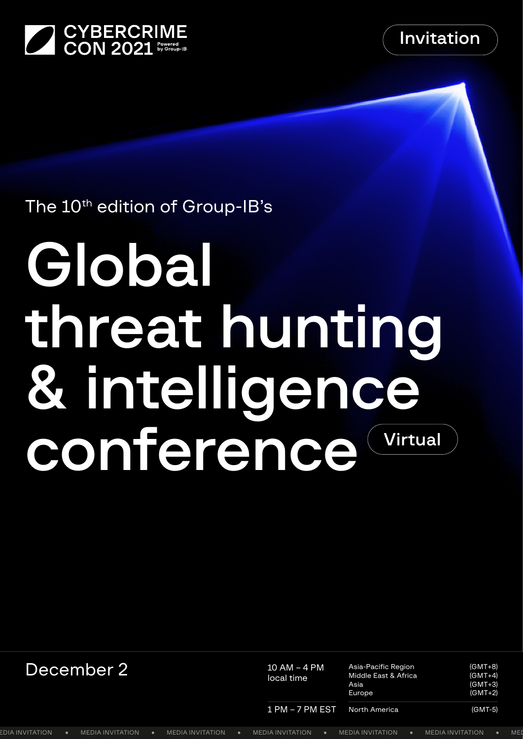



## The 10<sup>th</sup> edition of Group-IB's

# Global threat hunting & intelligence conference Virtual

| December 2'     |  |                  |  | 10 AM - 4 PM<br>local time |  | Asia-Pacific Region<br>Middle East & Africa<br>Asia<br>Europe |  | (GMT+8)<br>$(GMT+4)$<br>$(GMT+3)$<br>$(GMT+2)$ |                         |  |
|-----------------|--|------------------|--|----------------------------|--|---------------------------------------------------------------|--|------------------------------------------------|-------------------------|--|
|                 |  |                  |  |                            |  | $1 PM - 7 PM EST$                                             |  | North America                                  | (GMT-5)                 |  |
| EDIA INVITATION |  | MEDIA INVITATION |  | MEDIA INVITAT              |  | <b>INVITATION</b><br>MEL                                      |  | <b>MEDIA INVITATION</b>                        | <b>MEDIA INVITATION</b> |  |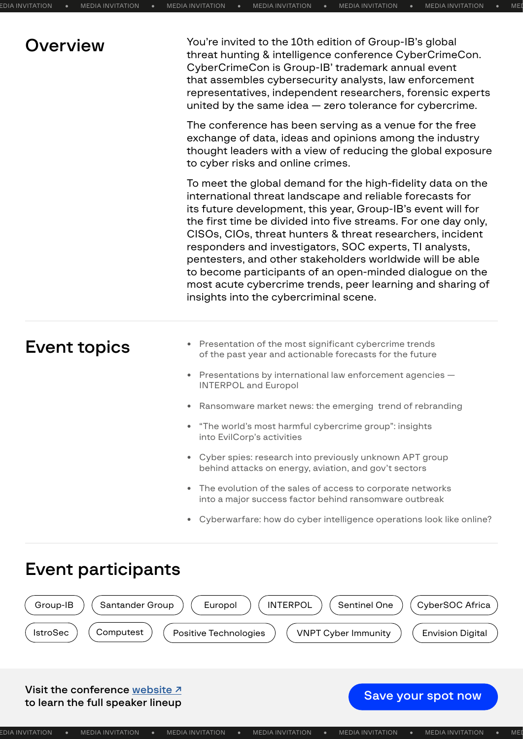| Overview            | You're invited to the 10th edition of Group-IB's global<br>threat hunting & intelligence conference CyberCrimeCon.<br>CyberCrimeCon is Group-IB' trademark annual event<br>that assembles cybersecurity analysts, law enforcement<br>representatives, independent researchers, forensic experts<br>united by the same idea $-$ zero tolerance for cybercrime.                                                                                                                                                                                                                                                        |  |  |  |  |  |
|---------------------|----------------------------------------------------------------------------------------------------------------------------------------------------------------------------------------------------------------------------------------------------------------------------------------------------------------------------------------------------------------------------------------------------------------------------------------------------------------------------------------------------------------------------------------------------------------------------------------------------------------------|--|--|--|--|--|
|                     | The conference has been serving as a venue for the free<br>exchange of data, ideas and opinions among the industry<br>thought leaders with a view of reducing the global exposure<br>to cyber risks and online crimes.                                                                                                                                                                                                                                                                                                                                                                                               |  |  |  |  |  |
|                     | To meet the global demand for the high-fidelity data on the<br>international threat landscape and reliable forecasts for<br>its future development, this year, Group-IB's event will for<br>the first time be divided into five streams. For one day only,<br>CISOs, CIOs, threat hunters & threat researchers, incident<br>responders and investigators, SOC experts, TI analysts,<br>pentesters, and other stakeholders worldwide will be able<br>to become participants of an open-minded dialogue on the<br>most acute cybercrime trends, peer learning and sharing of<br>insights into the cybercriminal scene. |  |  |  |  |  |
| <b>Event topics</b> | Presentation of the most significant cybercrime trends<br>of the past year and actionable forecasts for the future                                                                                                                                                                                                                                                                                                                                                                                                                                                                                                   |  |  |  |  |  |
|                     | Presentations by international law enforcement agencies -<br><b>INTERPOL and Europol</b>                                                                                                                                                                                                                                                                                                                                                                                                                                                                                                                             |  |  |  |  |  |
|                     | • Ransomware market news: the emerging trend of rebranding                                                                                                                                                                                                                                                                                                                                                                                                                                                                                                                                                           |  |  |  |  |  |
|                     | • "The world's most harmful cybercrime group": insights<br>into EvilCorp's activities                                                                                                                                                                                                                                                                                                                                                                                                                                                                                                                                |  |  |  |  |  |
|                     | • Cyber spies: research into previously unknown APT group<br>behind attacks on energy, aviation, and gov't sectors                                                                                                                                                                                                                                                                                                                                                                                                                                                                                                   |  |  |  |  |  |
|                     | • The evolution of the sales of access to corporate networks<br>into a major success factor behind ransomware outbreak                                                                                                                                                                                                                                                                                                                                                                                                                                                                                               |  |  |  |  |  |
|                     | • Cyberwarfare: how do cyber intelligence operations look like online?                                                                                                                                                                                                                                                                                                                                                                                                                                                                                                                                               |  |  |  |  |  |

## Event participants



#### Visit the conference website <sup>7</sup> visit the conference website  $\lambda$  states in the full speaker lineup spot now spot now spot now spot now spot now  $\lambda$